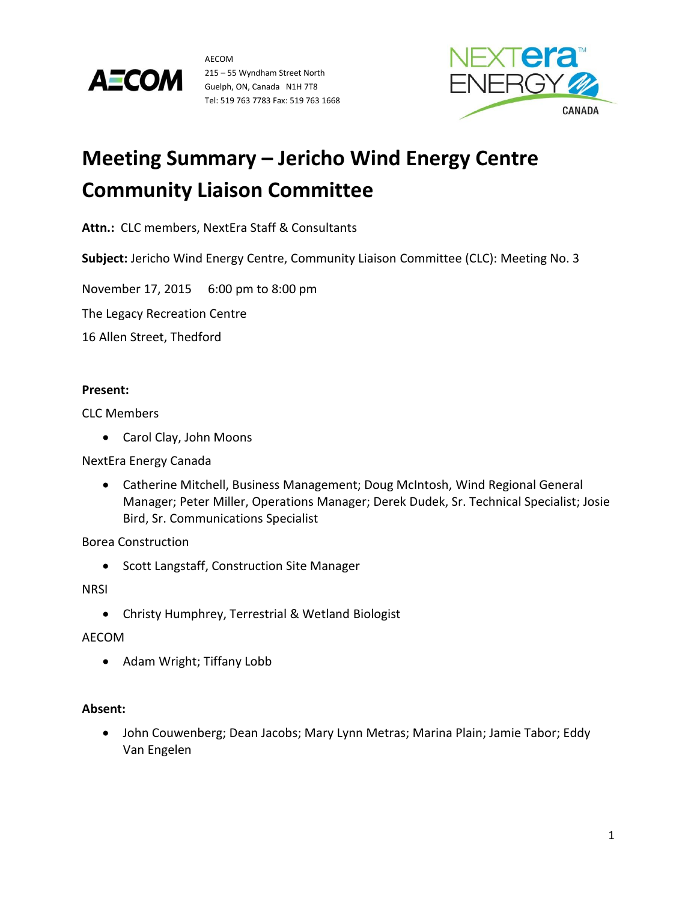



# **Meeting Summary – Jericho Wind Energy Centre Community Liaison Committee**

**Attn.:** CLC members, NextEra Staff & Consultants

**Subject:** Jericho Wind Energy Centre, Community Liaison Committee (CLC): Meeting No. 3

November 17, 2015 6:00 pm to 8:00 pm

The Legacy Recreation Centre

16 Allen Street, Thedford

# **Present:**

CLC Members

Carol Clay, John Moons

NextEra Energy Canada

 Catherine Mitchell, Business Management; Doug McIntosh, Wind Regional General Manager; Peter Miller, Operations Manager; Derek Dudek, Sr. Technical Specialist; Josie Bird, Sr. Communications Specialist

Borea Construction

• Scott Langstaff, Construction Site Manager

**NRSI** 

Christy Humphrey, Terrestrial & Wetland Biologist

## AECOM

• Adam Wright; Tiffany Lobb

# **Absent:**

 John Couwenberg; Dean Jacobs; Mary Lynn Metras; Marina Plain; Jamie Tabor; Eddy Van Engelen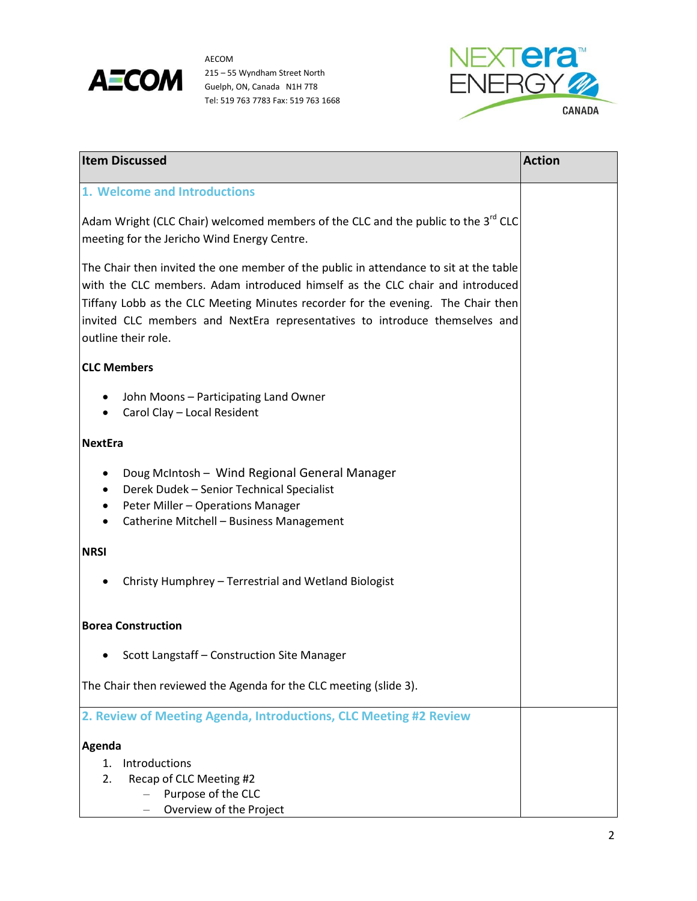



| <b>Item Discussed</b>                                                                                                                                                                                                                                                                                                                                            | <b>Action</b> |
|------------------------------------------------------------------------------------------------------------------------------------------------------------------------------------------------------------------------------------------------------------------------------------------------------------------------------------------------------------------|---------------|
| 1. Welcome and Introductions                                                                                                                                                                                                                                                                                                                                     |               |
| Adam Wright (CLC Chair) welcomed members of the CLC and the public to the 3 <sup>rd</sup> CLC<br>meeting for the Jericho Wind Energy Centre.                                                                                                                                                                                                                     |               |
| The Chair then invited the one member of the public in attendance to sit at the table<br>with the CLC members. Adam introduced himself as the CLC chair and introduced<br>Tiffany Lobb as the CLC Meeting Minutes recorder for the evening. The Chair then<br>invited CLC members and NextEra representatives to introduce themselves and<br>outline their role. |               |
| <b>CLC Members</b>                                                                                                                                                                                                                                                                                                                                               |               |
| John Moons - Participating Land Owner<br>Carol Clay - Local Resident                                                                                                                                                                                                                                                                                             |               |
| <b>NextEra</b>                                                                                                                                                                                                                                                                                                                                                   |               |
| Doug McIntosh - Wind Regional General Manager<br>Derek Dudek - Senior Technical Specialist<br>Peter Miller - Operations Manager<br>٠<br>Catherine Mitchell - Business Management                                                                                                                                                                                 |               |
| <b>NRSI</b>                                                                                                                                                                                                                                                                                                                                                      |               |
| Christy Humphrey - Terrestrial and Wetland Biologist                                                                                                                                                                                                                                                                                                             |               |
| <b>Borea Construction</b>                                                                                                                                                                                                                                                                                                                                        |               |
| Scott Langstaff - Construction Site Manager                                                                                                                                                                                                                                                                                                                      |               |
| The Chair then reviewed the Agenda for the CLC meeting (slide 3).                                                                                                                                                                                                                                                                                                |               |
| 2. Review of Meeting Agenda, Introductions, CLC Meeting #2 Review                                                                                                                                                                                                                                                                                                |               |
| Agenda<br>Introductions<br>1.<br>Recap of CLC Meeting #2<br>2.<br>Purpose of the CLC<br>Overview of the Project                                                                                                                                                                                                                                                  |               |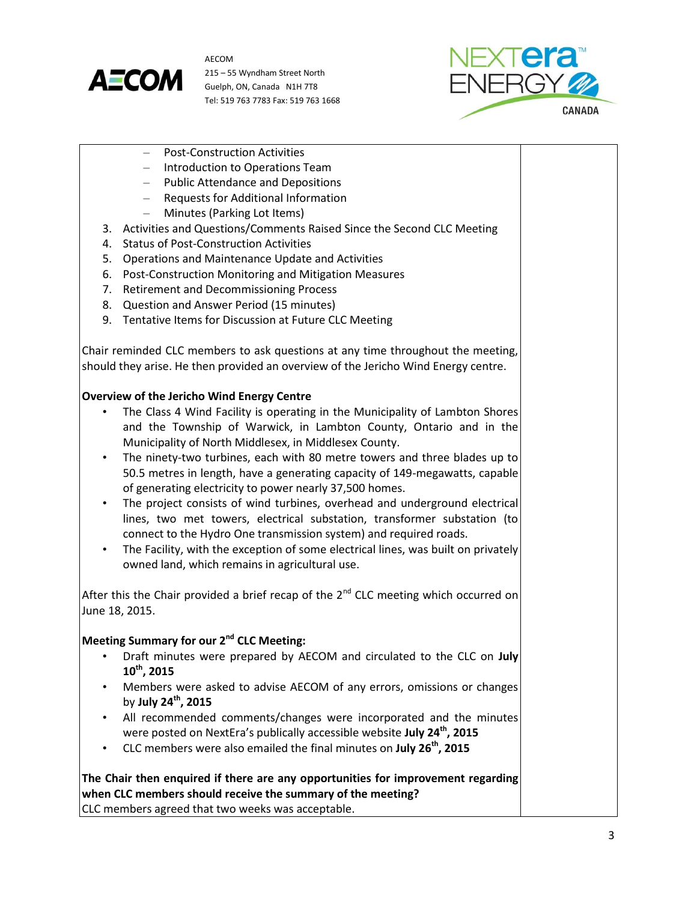



- Post-Construction Activities
- Introduction to Operations Team
- Public Attendance and Depositions
- Requests for Additional Information
- Minutes (Parking Lot Items)
- 3. Activities and Questions/Comments Raised Since the Second CLC Meeting
- 4. Status of Post-Construction Activities
- 5. Operations and Maintenance Update and Activities
- 6. Post-Construction Monitoring and Mitigation Measures
- 7. Retirement and Decommissioning Process
- 8. Question and Answer Period (15 minutes)
- 9. Tentative Items for Discussion at Future CLC Meeting

Chair reminded CLC members to ask questions at any time throughout the meeting, should they arise. He then provided an overview of the Jericho Wind Energy centre.

# **Overview of the Jericho Wind Energy Centre**

- The Class 4 Wind Facility is operating in the Municipality of Lambton Shores and the Township of Warwick, in Lambton County, Ontario and in the Municipality of North Middlesex, in Middlesex County.
- The ninety-two turbines, each with 80 metre towers and three blades up to 50.5 metres in length, have a generating capacity of 149-megawatts, capable of generating electricity to power nearly 37,500 homes.
- The project consists of wind turbines, overhead and underground electrical lines, two met towers, electrical substation, transformer substation (to connect to the Hydro One transmission system) and required roads.
- The Facility, with the exception of some electrical lines, was built on privately owned land, which remains in agricultural use.

After this the Chair provided a brief recap of the  $2<sup>nd</sup>$  CLC meeting which occurred on June 18, 2015.

# **Meeting Summary for our 2nd CLC Meeting:**

- Draft minutes were prepared by AECOM and circulated to the CLC on **July 10th, 2015**
- Members were asked to advise AECOM of any errors, omissions or changes by **July 24th, 2015**
- All recommended comments/changes were incorporated and the minutes were posted on NextEra's publically accessible website **July 24th, 2015**
- CLC members were also emailed the final minutes on **July 26th, 2015**

**The Chair then enquired if there are any opportunities for improvement regarding when CLC members should receive the summary of the meeting?** CLC members agreed that two weeks was acceptable.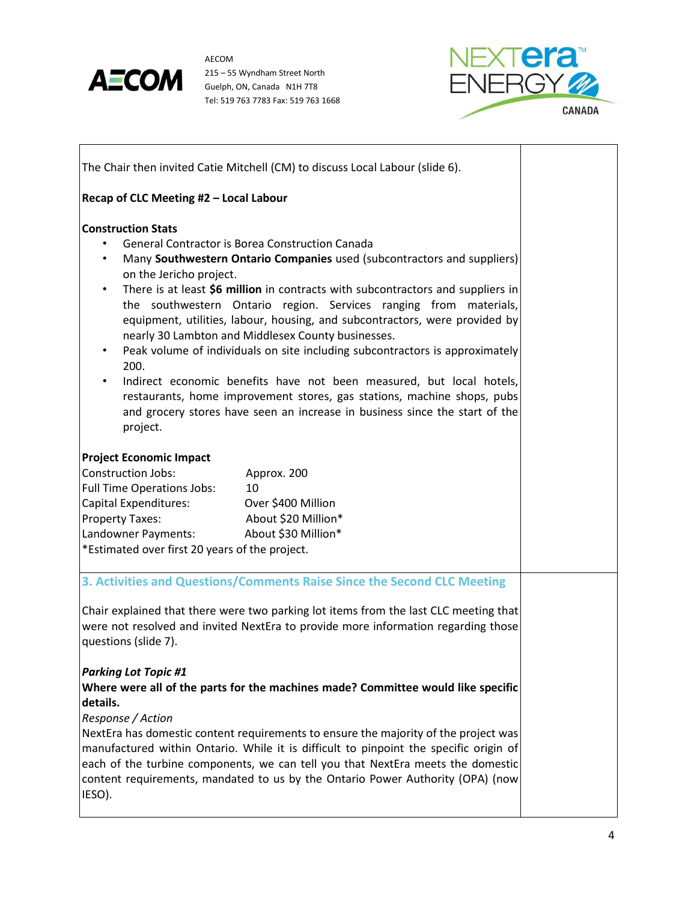

 $\overline{\phantom{a}}$ 

AECOM 215 – 55 Wyndham Street North Guelph, ON, Canada N1H 7T8 Tel: 519 763 7783 Fax: 519 763 1668



٦

| The Chair then invited Catie Mitchell (CM) to discuss Local Labour (slide 6).                                                                                                                                                                                        |                                                                                                                                                                                                                                                                                                                                                                                                                                                                                                                                                                                                                                  |
|----------------------------------------------------------------------------------------------------------------------------------------------------------------------------------------------------------------------------------------------------------------------|----------------------------------------------------------------------------------------------------------------------------------------------------------------------------------------------------------------------------------------------------------------------------------------------------------------------------------------------------------------------------------------------------------------------------------------------------------------------------------------------------------------------------------------------------------------------------------------------------------------------------------|
| Recap of CLC Meeting #2 - Local Labour                                                                                                                                                                                                                               |                                                                                                                                                                                                                                                                                                                                                                                                                                                                                                                                                                                                                                  |
| <b>Construction Stats</b><br><b>General Contractor is Borea Construction Canada</b><br>$\bullet$<br>on the Jericho project.<br>$\bullet$<br>nearly 30 Lambton and Middlesex County businesses.<br>$\bullet$<br>200.<br>$\bullet$<br>project.                         | Many Southwestern Ontario Companies used (subcontractors and suppliers)<br>There is at least \$6 million in contracts with subcontractors and suppliers in<br>the southwestern Ontario region. Services ranging from materials,<br>equipment, utilities, labour, housing, and subcontractors, were provided by<br>Peak volume of individuals on site including subcontractors is approximately<br>Indirect economic benefits have not been measured, but local hotels,<br>restaurants, home improvement stores, gas stations, machine shops, pubs<br>and grocery stores have seen an increase in business since the start of the |
| <b>Project Economic Impact</b>                                                                                                                                                                                                                                       |                                                                                                                                                                                                                                                                                                                                                                                                                                                                                                                                                                                                                                  |
| <b>Construction Jobs:</b><br>Approx. 200<br>10                                                                                                                                                                                                                       |                                                                                                                                                                                                                                                                                                                                                                                                                                                                                                                                                                                                                                  |
| <b>Full Time Operations Jobs:</b><br>Capital Expenditures:<br>Over \$400 Million                                                                                                                                                                                     |                                                                                                                                                                                                                                                                                                                                                                                                                                                                                                                                                                                                                                  |
| <b>Property Taxes:</b><br>About \$20 Million*                                                                                                                                                                                                                        |                                                                                                                                                                                                                                                                                                                                                                                                                                                                                                                                                                                                                                  |
| Landowner Payments:<br>About \$30 Million*                                                                                                                                                                                                                           |                                                                                                                                                                                                                                                                                                                                                                                                                                                                                                                                                                                                                                  |
| *Estimated over first 20 years of the project.                                                                                                                                                                                                                       |                                                                                                                                                                                                                                                                                                                                                                                                                                                                                                                                                                                                                                  |
| 3. Activities and Questions/Comments Raise Since the Second CLC Meeting                                                                                                                                                                                              |                                                                                                                                                                                                                                                                                                                                                                                                                                                                                                                                                                                                                                  |
| Chair explained that there were two parking lot items from the last CLC meeting that<br>were not resolved and invited NextEra to provide more information regarding those<br>questions (slide 7).                                                                    |                                                                                                                                                                                                                                                                                                                                                                                                                                                                                                                                                                                                                                  |
| <b>Parking Lot Topic #1</b><br>Where were all of the parts for the machines made? Committee would like specific<br>details.<br>Response / Action<br>NextEra has domestic content requirements to ensure the majority of the project was                              |                                                                                                                                                                                                                                                                                                                                                                                                                                                                                                                                                                                                                                  |
| manufactured within Ontario. While it is difficult to pinpoint the specific origin of<br>each of the turbine components, we can tell you that NextEra meets the domestic<br>content requirements, mandated to us by the Ontario Power Authority (OPA) (now<br>IESO). |                                                                                                                                                                                                                                                                                                                                                                                                                                                                                                                                                                                                                                  |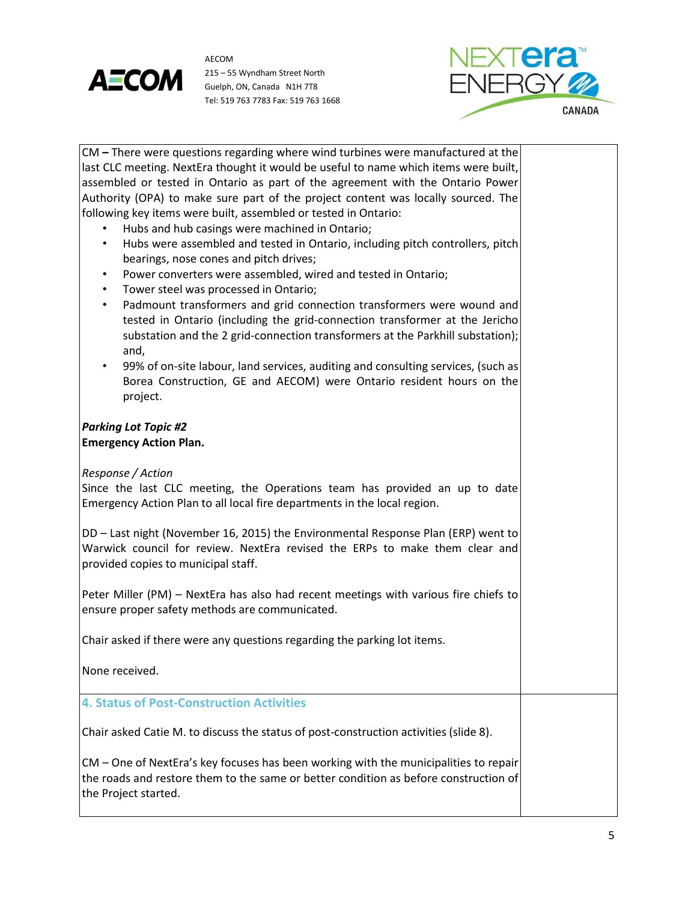



| CM – There were questions regarding where wind turbines were manufactured at the           |  |
|--------------------------------------------------------------------------------------------|--|
| last CLC meeting. NextEra thought it would be useful to name which items were built,       |  |
| assembled or tested in Ontario as part of the agreement with the Ontario Power             |  |
| Authority (OPA) to make sure part of the project content was locally sourced. The          |  |
| following key items were built, assembled or tested in Ontario:                            |  |
| Hubs and hub casings were machined in Ontario;                                             |  |
| Hubs were assembled and tested in Ontario, including pitch controllers, pitch<br>$\bullet$ |  |
| bearings, nose cones and pitch drives;                                                     |  |
| Power converters were assembled, wired and tested in Ontario;<br>$\bullet$                 |  |
| Tower steel was processed in Ontario;<br>$\bullet$                                         |  |
| Padmount transformers and grid connection transformers were wound and<br>$\bullet$         |  |
| tested in Ontario (including the grid-connection transformer at the Jericho                |  |
| substation and the 2 grid-connection transformers at the Parkhill substation);             |  |
| and,                                                                                       |  |
| 99% of on-site labour, land services, auditing and consulting services, (such as           |  |
| Borea Construction, GE and AECOM) were Ontario resident hours on the                       |  |
| project.                                                                                   |  |
|                                                                                            |  |
| <b>Parking Lot Topic #2</b>                                                                |  |
| <b>Emergency Action Plan.</b>                                                              |  |
|                                                                                            |  |
| Response / Action                                                                          |  |
| Since the last CLC meeting, the Operations team has provided an up to date                 |  |
| Emergency Action Plan to all local fire departments in the local region.                   |  |
|                                                                                            |  |
| DD - Last night (November 16, 2015) the Environmental Response Plan (ERP) went to          |  |
| Warwick council for review. NextEra revised the ERPs to make them clear and                |  |
| provided copies to municipal staff.                                                        |  |
|                                                                                            |  |
| Peter Miller (PM) - NextEra has also had recent meetings with various fire chiefs to       |  |
| ensure proper safety methods are communicated.                                             |  |
|                                                                                            |  |
| Chair asked if there were any questions regarding the parking lot items.                   |  |
|                                                                                            |  |
| None received.                                                                             |  |
|                                                                                            |  |
| <b>4. Status of Post-Construction Activities</b>                                           |  |
|                                                                                            |  |
| Chair asked Catie M. to discuss the status of post-construction activities (slide 8).      |  |
| CM - One of NextEra's key focuses has been working with the municipalities to repair       |  |
| the roads and restore them to the same or better condition as before construction of       |  |
| the Project started.                                                                       |  |
|                                                                                            |  |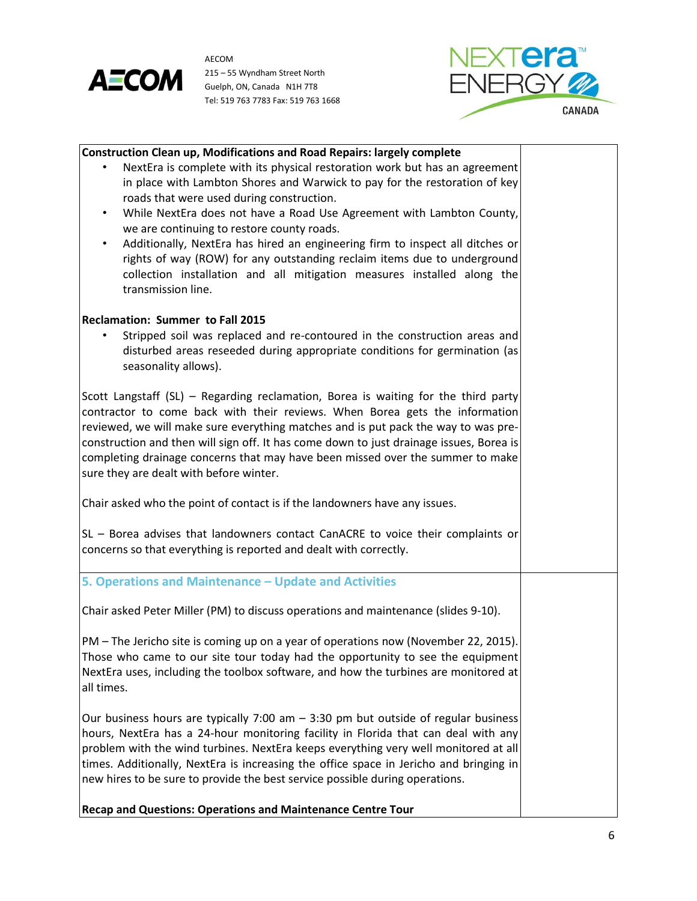



| <b>Construction Clean up, Modifications and Road Repairs: largely complete</b>             |  |
|--------------------------------------------------------------------------------------------|--|
| NextEra is complete with its physical restoration work but has an agreement                |  |
| in place with Lambton Shores and Warwick to pay for the restoration of key                 |  |
| roads that were used during construction.                                                  |  |
| While NextEra does not have a Road Use Agreement with Lambton County,<br>$\bullet$         |  |
| we are continuing to restore county roads.                                                 |  |
| Additionally, NextEra has hired an engineering firm to inspect all ditches or<br>$\bullet$ |  |
| rights of way (ROW) for any outstanding reclaim items due to underground                   |  |
| collection installation and all mitigation measures installed along the                    |  |
| transmission line.                                                                         |  |
|                                                                                            |  |
| Reclamation: Summer to Fall 2015                                                           |  |
| Stripped soil was replaced and re-contoured in the construction areas and                  |  |
| disturbed areas reseeded during appropriate conditions for germination (as                 |  |
| seasonality allows).                                                                       |  |
|                                                                                            |  |
| Scott Langstaff (SL) - Regarding reclamation, Borea is waiting for the third party         |  |
| contractor to come back with their reviews. When Borea gets the information                |  |
| reviewed, we will make sure everything matches and is put pack the way to was pre-         |  |
| construction and then will sign off. It has come down to just drainage issues, Borea is    |  |
| completing drainage concerns that may have been missed over the summer to make             |  |
| sure they are dealt with before winter.                                                    |  |
| Chair asked who the point of contact is if the landowners have any issues.                 |  |
|                                                                                            |  |
| SL - Borea advises that landowners contact CanACRE to voice their complaints or            |  |
| concerns so that everything is reported and dealt with correctly.                          |  |
|                                                                                            |  |
| 5. Operations and Maintenance - Update and Activities                                      |  |
| Chair asked Peter Miller (PM) to discuss operations and maintenance (slides 9-10).         |  |
|                                                                                            |  |
| PM - The Jericho site is coming up on a year of operations now (November 22, 2015).        |  |
| Those who came to our site tour today had the opportunity to see the equipment             |  |
| NextEra uses, including the toolbox software, and how the turbines are monitored at        |  |
| all times.                                                                                 |  |
|                                                                                            |  |
| Our business hours are typically 7:00 am $-$ 3:30 pm but outside of regular business       |  |
| hours, NextEra has a 24-hour monitoring facility in Florida that can deal with any         |  |
| problem with the wind turbines. NextEra keeps everything very well monitored at all        |  |
| times. Additionally, NextEra is increasing the office space in Jericho and bringing in     |  |
| new hires to be sure to provide the best service possible during operations.               |  |
|                                                                                            |  |
| Recap and Questions: Operations and Maintenance Centre Tour                                |  |

6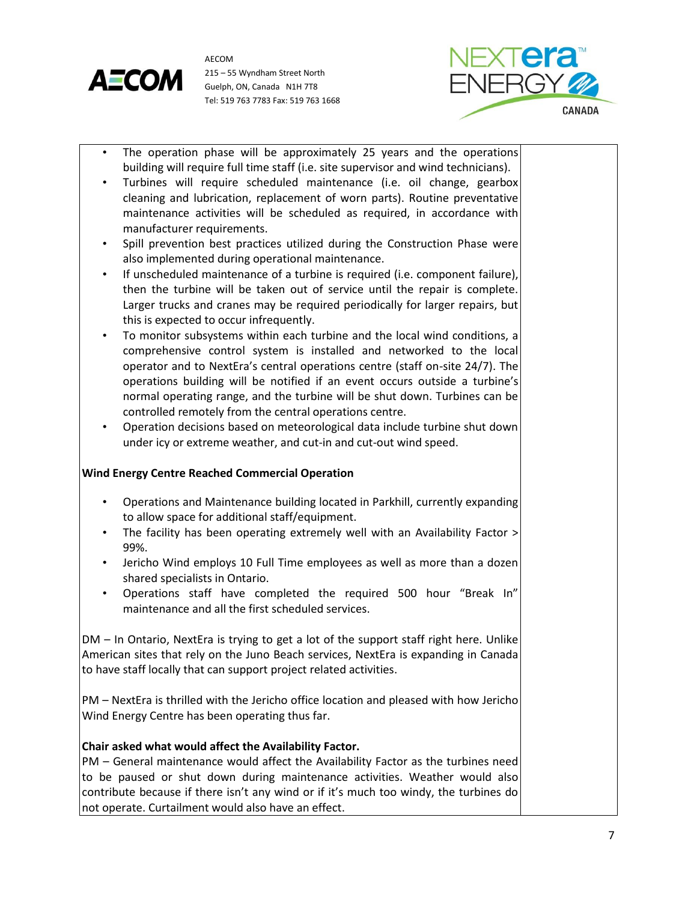



- The operation phase will be approximately 25 years and the operations building will require full time staff (i.e. site supervisor and wind technicians).
- Turbines will require scheduled maintenance (i.e. oil change, gearbox cleaning and lubrication, replacement of worn parts). Routine preventative maintenance activities will be scheduled as required, in accordance with manufacturer requirements.
- Spill prevention best practices utilized during the Construction Phase were also implemented during operational maintenance.
- If unscheduled maintenance of a turbine is required (i.e. component failure), then the turbine will be taken out of service until the repair is complete. Larger trucks and cranes may be required periodically for larger repairs, but this is expected to occur infrequently.
- To monitor subsystems within each turbine and the local wind conditions, a comprehensive control system is installed and networked to the local operator and to NextEra's central operations centre (staff on-site 24/7). The operations building will be notified if an event occurs outside a turbine's normal operating range, and the turbine will be shut down. Turbines can be controlled remotely from the central operations centre.
- Operation decisions based on meteorological data include turbine shut down under icy or extreme weather, and cut-in and cut-out wind speed.

# **Wind Energy Centre Reached Commercial Operation**

- Operations and Maintenance building located in Parkhill, currently expanding to allow space for additional staff/equipment.
- The facility has been operating extremely well with an Availability Factor > 99%.
- Jericho Wind employs 10 Full Time employees as well as more than a dozen shared specialists in Ontario.
- Operations staff have completed the required 500 hour "Break In" maintenance and all the first scheduled services.

DM – In Ontario, NextEra is trying to get a lot of the support staff right here. Unlike American sites that rely on the Juno Beach services, NextEra is expanding in Canada to have staff locally that can support project related activities.

PM – NextEra is thrilled with the Jericho office location and pleased with how Jericho Wind Energy Centre has been operating thus far.

## **Chair asked what would affect the Availability Factor.**

PM – General maintenance would affect the Availability Factor as the turbines need to be paused or shut down during maintenance activities. Weather would also contribute because if there isn't any wind or if it's much too windy, the turbines do not operate. Curtailment would also have an effect.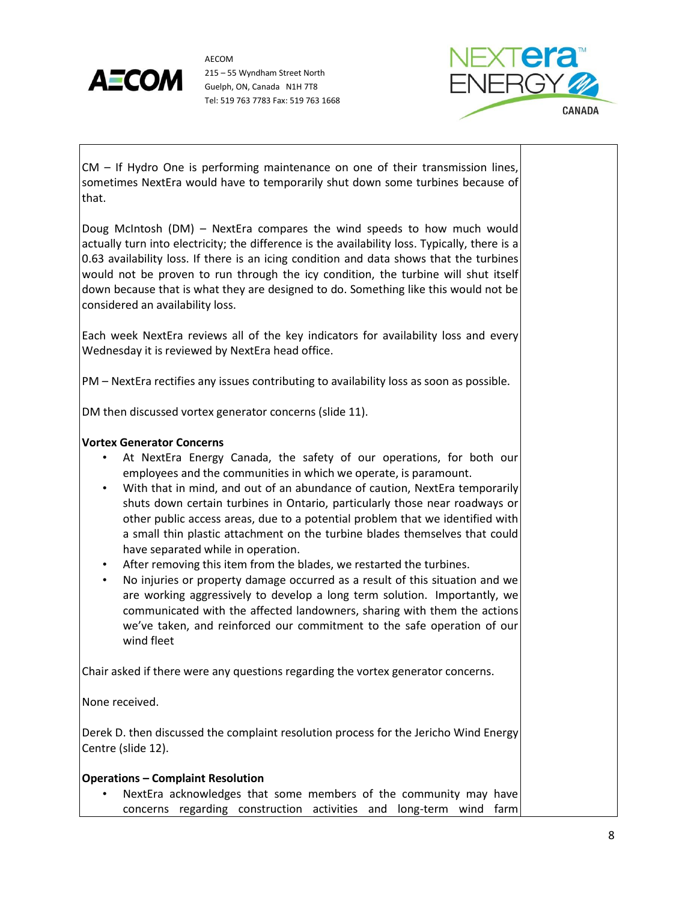



CM – If Hydro One is performing maintenance on one of their transmission lines, sometimes NextEra would have to temporarily shut down some turbines because of that.

Doug McIntosh (DM) – NextEra compares the wind speeds to how much would actually turn into electricity; the difference is the availability loss. Typically, there is a 0.63 availability loss. If there is an icing condition and data shows that the turbines would not be proven to run through the icy condition, the turbine will shut itself down because that is what they are designed to do. Something like this would not be considered an availability loss.

Each week NextEra reviews all of the key indicators for availability loss and every Wednesday it is reviewed by NextEra head office.

PM – NextEra rectifies any issues contributing to availability loss as soon as possible.

DM then discussed vortex generator concerns (slide 11).

## **Vortex Generator Concerns**

- At NextEra Energy Canada, the safety of our operations, for both our employees and the communities in which we operate, is paramount.
- With that in mind, and out of an abundance of caution, NextEra temporarily shuts down certain turbines in Ontario, particularly those near roadways or other public access areas, due to a potential problem that we identified with a small thin plastic attachment on the turbine blades themselves that could have separated while in operation.
- After removing this item from the blades, we restarted the turbines.
- No injuries or property damage occurred as a result of this situation and we are working aggressively to develop a long term solution. Importantly, we communicated with the affected landowners, sharing with them the actions we've taken, and reinforced our commitment to the safe operation of our wind fleet

Chair asked if there were any questions regarding the vortex generator concerns.

None received.

Derek D. then discussed the complaint resolution process for the Jericho Wind Energy Centre (slide 12).

## **Operations – Complaint Resolution**

NextEra acknowledges that some members of the community may have concerns regarding construction activities and long-term wind farm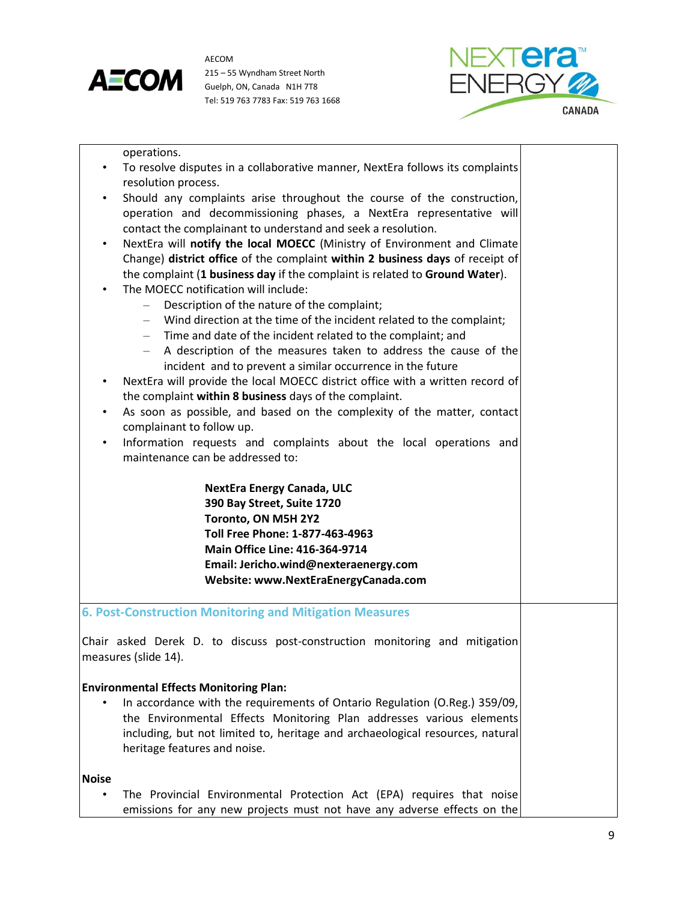



operations. • To resolve disputes in a collaborative manner, NextEra follows its complaints resolution process. • Should any complaints arise throughout the course of the construction, operation and decommissioning phases, a NextEra representative will contact the complainant to understand and seek a resolution. • NextEra will **notify the local MOECC** (Ministry of Environment and Climate Change) **district office** of the complaint **within 2 business days** of receipt of the complaint (**1 business day** if the complaint is related to **Ground Water**). The MOECC notification will include: – Description of the nature of the complaint; – Wind direction at the time of the incident related to the complaint; – Time and date of the incident related to the complaint; and – A description of the measures taken to address the cause of the incident and to prevent a similar occurrence in the future • NextEra will provide the local MOECC district office with a written record of the complaint **within 8 business** days of the complaint. • As soon as possible, and based on the complexity of the matter, contact complainant to follow up. • Information requests and complaints about the local operations and maintenance can be addressed to: **NextEra Energy Canada, ULC 390 Bay Street, Suite 1720 Toronto, ON M5H 2Y2 Toll Free Phone: 1-877-463-4963 Main Office Line: 416-364-9714 Email: Jericho.wind@nexteraenergy.com Website: www.NextEraEnergyCanada.com 6. Post-Construction Monitoring and Mitigation Measures** Chair asked Derek D. to discuss post-construction monitoring and mitigation measures (slide 14). **Environmental Effects Monitoring Plan:** • In accordance with the requirements of Ontario Regulation (O.Reg.) 359/09, the Environmental Effects Monitoring Plan addresses various elements including, but not limited to, heritage and archaeological resources, natural heritage features and noise. **Noise** • The Provincial Environmental Protection Act (EPA) requires that noise

emissions for any new projects must not have any adverse effects on the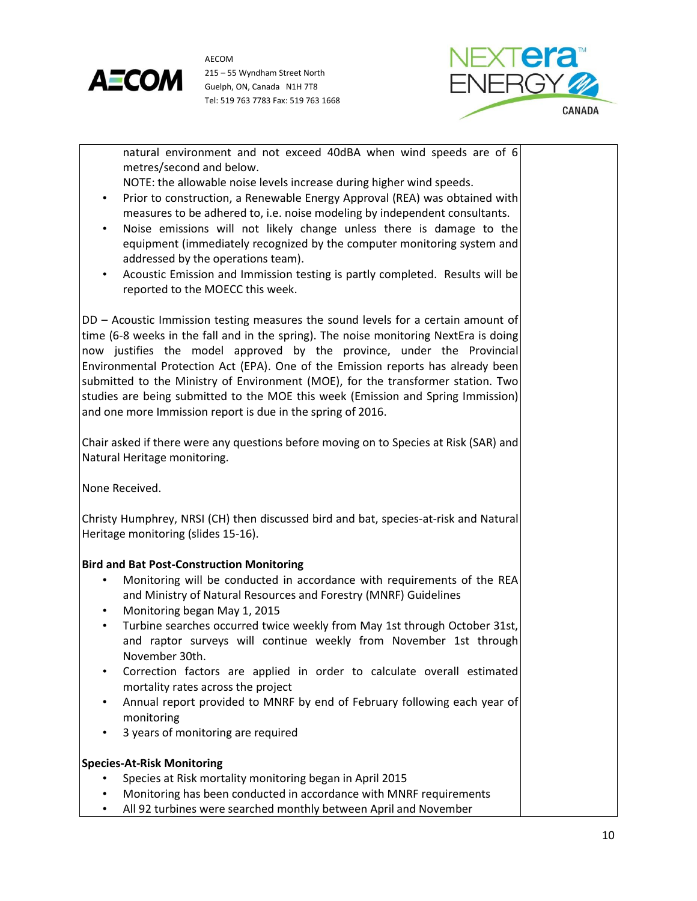



| natural environment and not exceed 40dBA when wind speeds are of 6<br>metres/second and below.                                                                                                                                                                                                                                                                                                                                                                                                                                                                                                                                               |  |
|----------------------------------------------------------------------------------------------------------------------------------------------------------------------------------------------------------------------------------------------------------------------------------------------------------------------------------------------------------------------------------------------------------------------------------------------------------------------------------------------------------------------------------------------------------------------------------------------------------------------------------------------|--|
| NOTE: the allowable noise levels increase during higher wind speeds.<br>Prior to construction, a Renewable Energy Approval (REA) was obtained with<br>$\bullet$<br>measures to be adhered to, i.e. noise modeling by independent consultants.                                                                                                                                                                                                                                                                                                                                                                                                |  |
| Noise emissions will not likely change unless there is damage to the<br>$\bullet$<br>equipment (immediately recognized by the computer monitoring system and<br>addressed by the operations team).<br>Acoustic Emission and Immission testing is partly completed. Results will be<br>$\bullet$                                                                                                                                                                                                                                                                                                                                              |  |
| reported to the MOECC this week.                                                                                                                                                                                                                                                                                                                                                                                                                                                                                                                                                                                                             |  |
| DD - Acoustic Immission testing measures the sound levels for a certain amount of<br>time (6-8 weeks in the fall and in the spring). The noise monitoring NextEra is doing<br>now justifies the model approved by the province, under the Provincial<br>Environmental Protection Act (EPA). One of the Emission reports has already been<br>submitted to the Ministry of Environment (MOE), for the transformer station. Two<br>studies are being submitted to the MOE this week (Emission and Spring Immission)<br>and one more Immission report is due in the spring of 2016.                                                              |  |
| Chair asked if there were any questions before moving on to Species at Risk (SAR) and<br>Natural Heritage monitoring.                                                                                                                                                                                                                                                                                                                                                                                                                                                                                                                        |  |
| None Received.                                                                                                                                                                                                                                                                                                                                                                                                                                                                                                                                                                                                                               |  |
| Christy Humphrey, NRSI (CH) then discussed bird and bat, species-at-risk and Natural<br>Heritage monitoring (slides 15-16).                                                                                                                                                                                                                                                                                                                                                                                                                                                                                                                  |  |
| <b>Bird and Bat Post-Construction Monitoring</b><br>Monitoring will be conducted in accordance with requirements of the REA<br>٠<br>and Ministry of Natural Resources and Forestry (MNRF) Guidelines<br>Monitoring began May 1, 2015<br>$\bullet$<br>Turbine searches occurred twice weekly from May 1st through October 31st,<br>$\bullet$<br>and raptor surveys will continue weekly from November 1st through<br>November 30th.<br>Correction factors are applied in order to calculate overall estimated<br>mortality rates across the project<br>Annual report provided to MNRF by end of February following each year of<br>monitoring |  |
| 3 years of monitoring are required                                                                                                                                                                                                                                                                                                                                                                                                                                                                                                                                                                                                           |  |
| <b>Species-At-Risk Monitoring</b>                                                                                                                                                                                                                                                                                                                                                                                                                                                                                                                                                                                                            |  |
| Species at Risk mortality monitoring began in April 2015<br>Monitoring has been conducted in accordance with MNRF requirements                                                                                                                                                                                                                                                                                                                                                                                                                                                                                                               |  |
| All 92 turbines were searched monthly between April and November<br>٠                                                                                                                                                                                                                                                                                                                                                                                                                                                                                                                                                                        |  |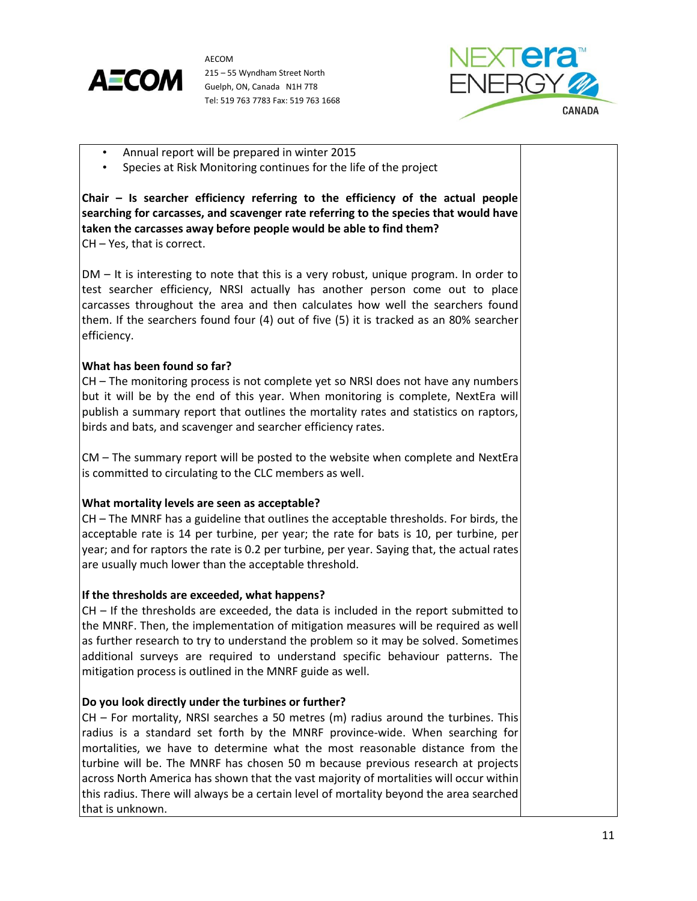



- Annual report will be prepared in winter 2015
- Species at Risk Monitoring continues for the life of the project

**Chair – Is searcher efficiency referring to the efficiency of the actual people searching for carcasses, and scavenger rate referring to the species that would have taken the carcasses away before people would be able to find them?** CH – Yes, that is correct.

DM – It is interesting to note that this is a very robust, unique program. In order to test searcher efficiency, NRSI actually has another person come out to place carcasses throughout the area and then calculates how well the searchers found them. If the searchers found four (4) out of five (5) it is tracked as an 80% searcher efficiency.

# **What has been found so far?**

CH – The monitoring process is not complete yet so NRSI does not have any numbers but it will be by the end of this year. When monitoring is complete, NextEra will publish a summary report that outlines the mortality rates and statistics on raptors, birds and bats, and scavenger and searcher efficiency rates.

CM – The summary report will be posted to the website when complete and NextEra is committed to circulating to the CLC members as well.

## **What mortality levels are seen as acceptable?**

CH – The MNRF has a guideline that outlines the acceptable thresholds. For birds, the acceptable rate is 14 per turbine, per year; the rate for bats is 10, per turbine, per year; and for raptors the rate is 0.2 per turbine, per year. Saying that, the actual rates are usually much lower than the acceptable threshold.

## **If the thresholds are exceeded, what happens?**

CH – If the thresholds are exceeded, the data is included in the report submitted to the MNRF. Then, the implementation of mitigation measures will be required as well as further research to try to understand the problem so it may be solved. Sometimes additional surveys are required to understand specific behaviour patterns. The mitigation process is outlined in the MNRF guide as well.

## **Do you look directly under the turbines or further?**

CH – For mortality, NRSI searches a 50 metres (m) radius around the turbines. This radius is a standard set forth by the MNRF province-wide. When searching for mortalities, we have to determine what the most reasonable distance from the turbine will be. The MNRF has chosen 50 m because previous research at projects across North America has shown that the vast majority of mortalities will occur within this radius. There will always be a certain level of mortality beyond the area searched that is unknown.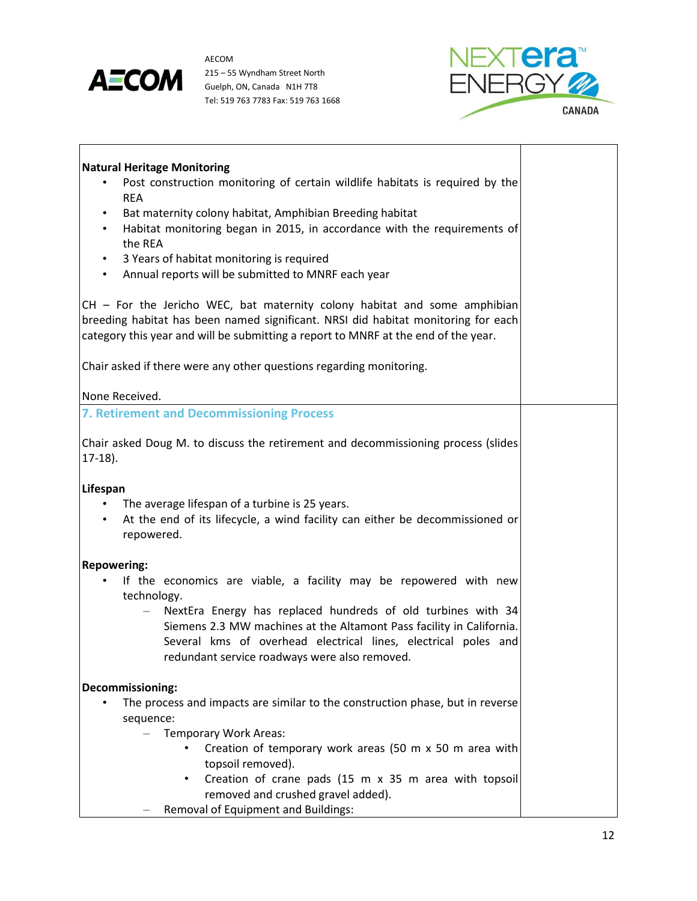

h



| <b>Natural Heritage Monitoring</b>                                                                                                                                                                                                 |  |
|------------------------------------------------------------------------------------------------------------------------------------------------------------------------------------------------------------------------------------|--|
| Post construction monitoring of certain wildlife habitats is required by the<br><b>REA</b>                                                                                                                                         |  |
| Bat maternity colony habitat, Amphibian Breeding habitat<br>$\bullet$                                                                                                                                                              |  |
| Habitat monitoring began in 2015, in accordance with the requirements of<br>$\bullet$                                                                                                                                              |  |
| the REA                                                                                                                                                                                                                            |  |
| 3 Years of habitat monitoring is required<br>$\bullet$                                                                                                                                                                             |  |
| Annual reports will be submitted to MNRF each year<br>$\bullet$                                                                                                                                                                    |  |
| CH - For the Jericho WEC, bat maternity colony habitat and some amphibian<br>breeding habitat has been named significant. NRSI did habitat monitoring for each                                                                     |  |
| category this year and will be submitting a report to MNRF at the end of the year.                                                                                                                                                 |  |
| Chair asked if there were any other questions regarding monitoring.                                                                                                                                                                |  |
| None Received.                                                                                                                                                                                                                     |  |
| <b>7. Retirement and Decommissioning Process</b>                                                                                                                                                                                   |  |
| Chair asked Doug M. to discuss the retirement and decommissioning process (slides                                                                                                                                                  |  |
| $17-18$ ).                                                                                                                                                                                                                         |  |
| Lifespan                                                                                                                                                                                                                           |  |
| The average lifespan of a turbine is 25 years.                                                                                                                                                                                     |  |
| At the end of its lifecycle, a wind facility can either be decommissioned or<br>$\bullet$<br>repowered.                                                                                                                            |  |
| <b>Repowering:</b>                                                                                                                                                                                                                 |  |
| If the economics are viable, a facility may be repowered with new                                                                                                                                                                  |  |
| technology.                                                                                                                                                                                                                        |  |
| NextEra Energy has replaced hundreds of old turbines with 34<br>$\overline{\phantom{0}}$<br>Siemens 2.3 MW machines at the Altamont Pass facility in California.<br>Several kms of overhead electrical lines, electrical poles and |  |
| redundant service roadways were also removed.                                                                                                                                                                                      |  |
| Decommissioning:                                                                                                                                                                                                                   |  |
| The process and impacts are similar to the construction phase, but in reverse                                                                                                                                                      |  |
| sequence:                                                                                                                                                                                                                          |  |
| <b>Temporary Work Areas:</b><br>$\overline{\phantom{0}}$                                                                                                                                                                           |  |
| Creation of temporary work areas (50 m x 50 m area with<br>topsoil removed).                                                                                                                                                       |  |
| Creation of crane pads (15 m x 35 m area with topsoil                                                                                                                                                                              |  |
| removed and crushed gravel added).                                                                                                                                                                                                 |  |
| Removal of Equipment and Buildings:                                                                                                                                                                                                |  |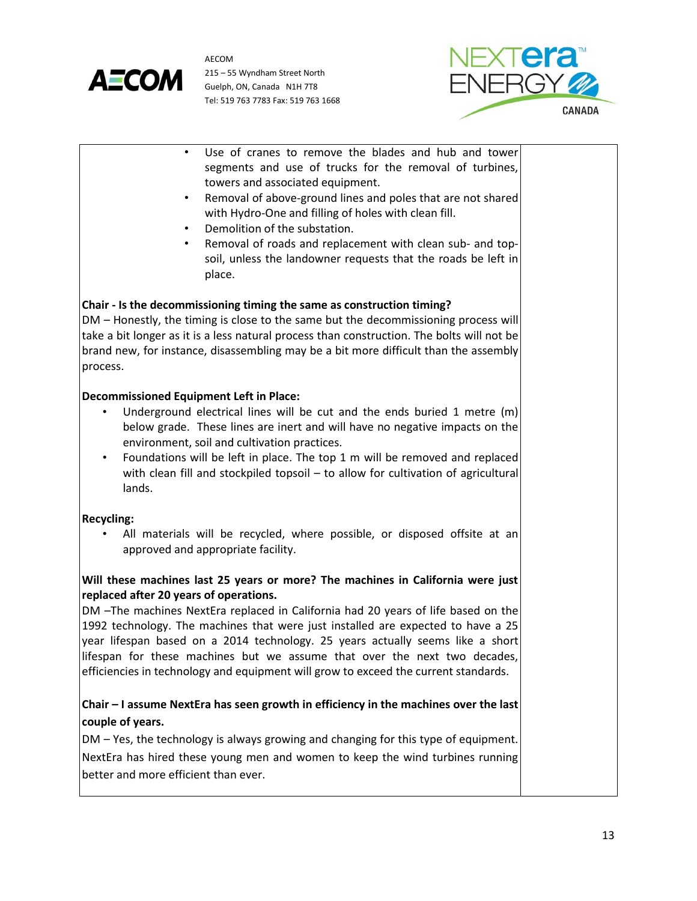



- Use of cranes to remove the blades and hub and tower segments and use of trucks for the removal of turbines, towers and associated equipment.
- Removal of above-ground lines and poles that are not shared with Hydro-One and filling of holes with clean fill.
- Demolition of the substation.
- Removal of roads and replacement with clean sub- and topsoil, unless the landowner requests that the roads be left in place.

# **Chair - Is the decommissioning timing the same as construction timing?**

DM – Honestly, the timing is close to the same but the decommissioning process will take a bit longer as it is a less natural process than construction. The bolts will not be brand new, for instance, disassembling may be a bit more difficult than the assembly process.

## **Decommissioned Equipment Left in Place:**

- Underground electrical lines will be cut and the ends buried 1 metre (m) below grade. These lines are inert and will have no negative impacts on the environment, soil and cultivation practices.
- Foundations will be left in place. The top 1 m will be removed and replaced with clean fill and stockpiled topsoil – to allow for cultivation of agricultural lands.

## **Recycling:**

All materials will be recycled, where possible, or disposed offsite at an approved and appropriate facility.

# **Will these machines last 25 years or more? The machines in California were just replaced after 20 years of operations.**

DM –The machines NextEra replaced in California had 20 years of life based on the 1992 technology. The machines that were just installed are expected to have a 25 year lifespan based on a 2014 technology. 25 years actually seems like a short lifespan for these machines but we assume that over the next two decades, efficiencies in technology and equipment will grow to exceed the current standards.

# **Chair – I assume NextEra has seen growth in efficiency in the machines over the last couple of years.**

DM – Yes, the technology is always growing and changing for this type of equipment. NextEra has hired these young men and women to keep the wind turbines running better and more efficient than ever.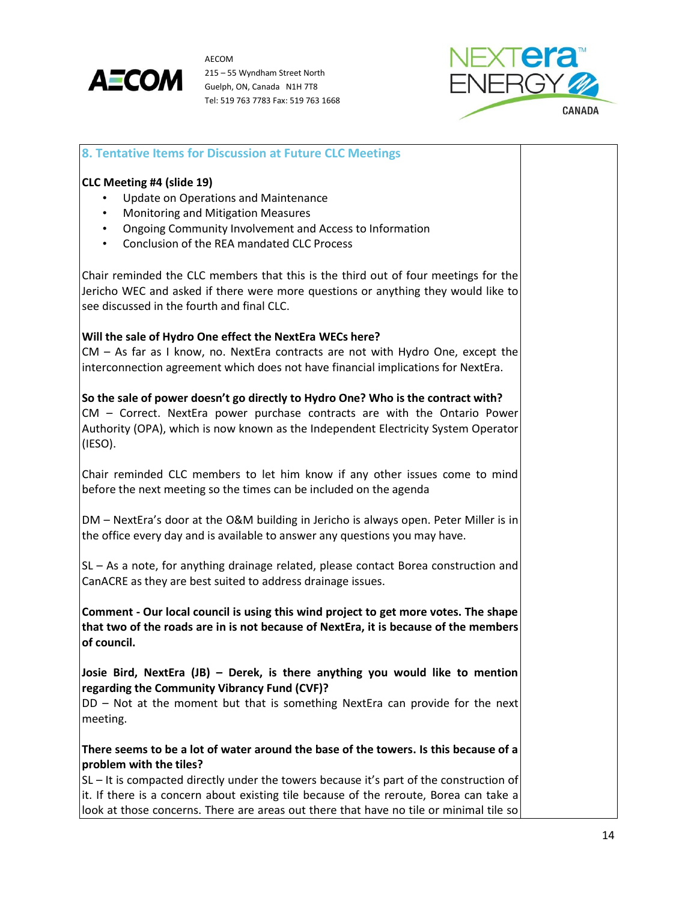



| 8. Tentative Items for Discussion at Future CLC Meetings                                                                                                                                                                                                                                               |  |
|--------------------------------------------------------------------------------------------------------------------------------------------------------------------------------------------------------------------------------------------------------------------------------------------------------|--|
| CLC Meeting #4 (slide 19)<br>Update on Operations and Maintenance<br>Monitoring and Mitigation Measures<br>$\bullet$<br>Ongoing Community Involvement and Access to Information<br>$\bullet$<br>Conclusion of the REA mandated CLC Process<br>$\bullet$                                                |  |
| Chair reminded the CLC members that this is the third out of four meetings for the<br>Jericho WEC and asked if there were more questions or anything they would like to<br>see discussed in the fourth and final CLC.                                                                                  |  |
| Will the sale of Hydro One effect the NextEra WECs here?<br>$CM - As$ far as I know, no. NextEra contracts are not with Hydro One, except the<br>interconnection agreement which does not have financial implications for NextEra.                                                                     |  |
| So the sale of power doesn't go directly to Hydro One? Who is the contract with?<br>CM - Correct. NextEra power purchase contracts are with the Ontario Power<br>Authority (OPA), which is now known as the Independent Electricity System Operator<br>(IESO).                                         |  |
| Chair reminded CLC members to let him know if any other issues come to mind<br>before the next meeting so the times can be included on the agenda                                                                                                                                                      |  |
| DM - NextEra's door at the O&M building in Jericho is always open. Peter Miller is in<br>the office every day and is available to answer any questions you may have.                                                                                                                                   |  |
| SL - As a note, for anything drainage related, please contact Borea construction and<br>CanACRE as they are best suited to address drainage issues.                                                                                                                                                    |  |
| Comment - Our local council is using this wind project to get more votes. The shape<br>that two of the roads are in is not because of NextEra, it is because of the members<br>of council.                                                                                                             |  |
| Josie Bird, NextEra (JB) - Derek, is there anything you would like to mention<br>regarding the Community Vibrancy Fund (CVF)?<br>DD - Not at the moment but that is something NextEra can provide for the next<br>meeting.                                                                             |  |
| There seems to be a lot of water around the base of the towers. Is this because of a<br>problem with the tiles?<br>$SL - It$ is compacted directly under the towers because it's part of the construction of<br>it. If there is a concern about existing tile because of the reroute, Borea can take a |  |
| look at those concerns. There are areas out there that have no tile or minimal tile so                                                                                                                                                                                                                 |  |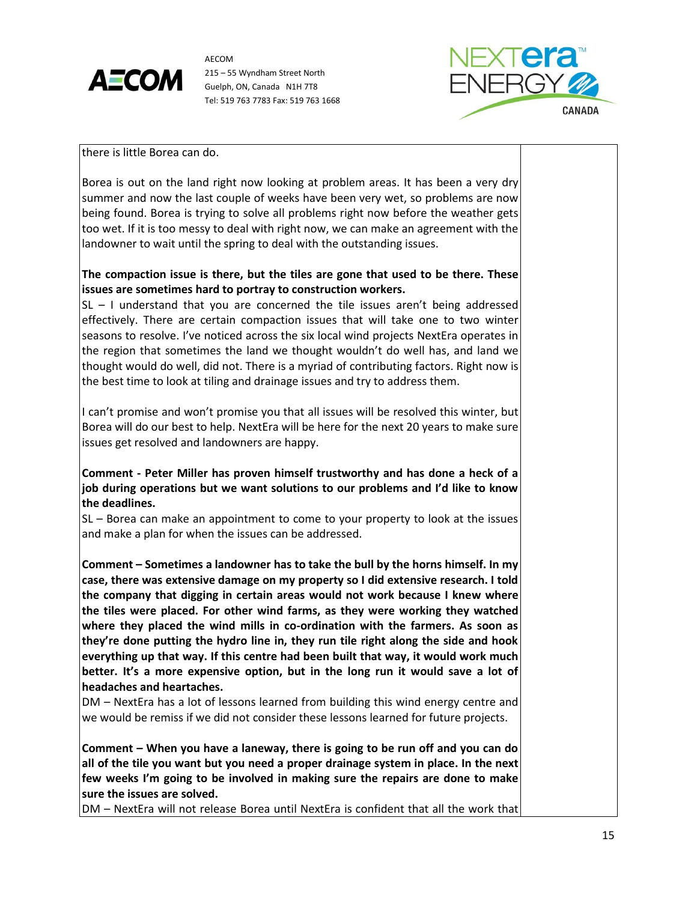



there is little Borea can do.

Borea is out on the land right now looking at problem areas. It has been a very dry summer and now the last couple of weeks have been very wet, so problems are now being found. Borea is trying to solve all problems right now before the weather gets too wet. If it is too messy to deal with right now, we can make an agreement with the landowner to wait until the spring to deal with the outstanding issues.

# **The compaction issue is there, but the tiles are gone that used to be there. These issues are sometimes hard to portray to construction workers.**

SL – I understand that you are concerned the tile issues aren't being addressed effectively. There are certain compaction issues that will take one to two winter seasons to resolve. I've noticed across the six local wind projects NextEra operates in the region that sometimes the land we thought wouldn't do well has, and land we thought would do well, did not. There is a myriad of contributing factors. Right now is the best time to look at tiling and drainage issues and try to address them.

I can't promise and won't promise you that all issues will be resolved this winter, but Borea will do our best to help. NextEra will be here for the next 20 years to make sure issues get resolved and landowners are happy.

**Comment - Peter Miller has proven himself trustworthy and has done a heck of a job during operations but we want solutions to our problems and I'd like to know the deadlines.**

SL – Borea can make an appointment to come to your property to look at the issues and make a plan for when the issues can be addressed.

**Comment – Sometimes a landowner has to take the bull by the horns himself. In my case, there was extensive damage on my property so I did extensive research. I told the company that digging in certain areas would not work because I knew where the tiles were placed. For other wind farms, as they were working they watched where they placed the wind mills in co-ordination with the farmers. As soon as they're done putting the hydro line in, they run tile right along the side and hook everything up that way. If this centre had been built that way, it would work much better. It's a more expensive option, but in the long run it would save a lot of headaches and heartaches.**

DM – NextEra has a lot of lessons learned from building this wind energy centre and we would be remiss if we did not consider these lessons learned for future projects.

**Comment – When you have a laneway, there is going to be run off and you can do all of the tile you want but you need a proper drainage system in place. In the next few weeks I'm going to be involved in making sure the repairs are done to make sure the issues are solved.** 

DM – NextEra will not release Borea until NextEra is confident that all the work that